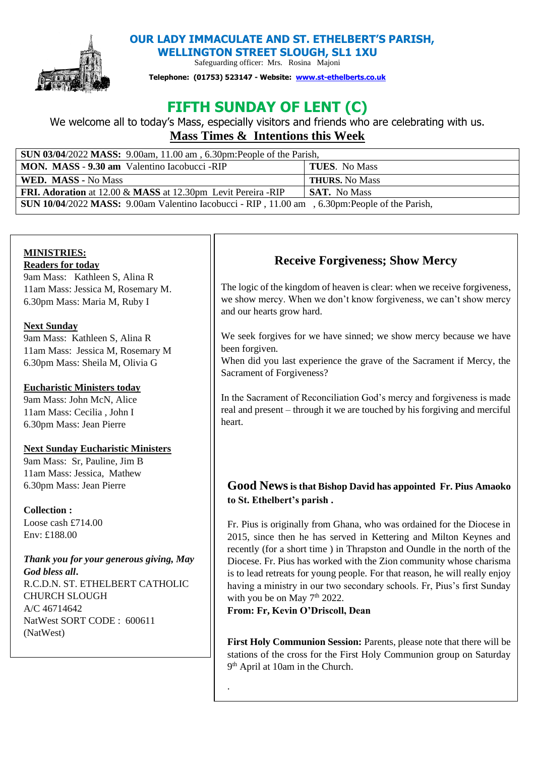

### **OUR LADY IMMACULATE AND ST. ETHELBERT'S PARISH, WELLINGTON STREET SLOUGH, SL1 1XU**

Safeguarding officer: Mrs. Rosina Majoni

**Telephone: (01753) 523147 - Website: [www.st-ethelberts.co.uk](about:blank)**

# **FIFTH SUNDAY OF LENT (C)**

We welcome all to today's Mass, especially visitors and friends who are celebrating with us. **Mass Times & Intentions this Week** 

| <b>SUN 03/04/2022 MASS:</b> 9.00am, 11.00 am, 6.30pm: People of the Parish,                          |                       |
|------------------------------------------------------------------------------------------------------|-----------------------|
| <b>MON. MASS - 9.30 am</b> Valentino Iacobucci -RIP                                                  | <b>TUES.</b> No Mass  |
| WED. MASS - No Mass                                                                                  | <b>THURS.</b> No Mass |
| FRI. Adoration at 12.00 & MASS at 12.30pm Levit Pereira -RIP                                         | <b>SAT.</b> No Mass   |
| <b>SUN 10/04/2022 MASS:</b> 9.00am Valentino Iacobucci - RIP, 11.00 am, 6.30pm:People of the Parish, |                       |

## **MINISTRIES:**

### **Readers for today**

9am Mass: Kathleen S, Alina R 11am Mass: Jessica M, Rosemary M. 6.30pm Mass: Maria M, Ruby I

### **Next Sunday**

9am Mass: Kathleen S, Alina R 11am Mass: Jessica M, Rosemary M 6.30pm Mass: Sheila M, Olivia G

### **Eucharistic Ministers today**

9am Mass: John McN, Alice 11am Mass: Cecilia , John I 6.30pm Mass: Jean Pierre

### **Next Sunday Eucharistic Ministers**

9am Mass: Sr, Pauline, Jim B 11am Mass: Jessica, Mathew 6.30pm Mass: Jean Pierre

### **Collection :**

Loose cash £714.00 Env: £188.00

*Thank you for your generous giving, May God bless all***.**  R.C.D.N. ST. ETHELBERT CATHOLIC CHURCH SLOUGH A/C 46714642 NatWest SORT CODE : 600611

(NatWest)

# **Receive Forgiveness; Show Mercy**

The logic of the kingdom of heaven is clear: when we receive forgiveness, we show mercy. When we don't know forgiveness, we can't show mercy and our hearts grow hard.

We seek forgives for we have sinned; we show mercy because we have been forgiven.

When did you last experience the grave of the Sacrament if Mercy, the Sacrament of Forgiveness?

In the Sacrament of Reconciliation God's mercy and forgiveness is made real and present – through it we are touched by his forgiving and merciful heart.

## **Good Newsis that Bishop David has appointed Fr. Pius Amaoko to St. Ethelbert's parish .**

Fr. Pius is originally from Ghana, who was ordained for the Diocese in 2015, since then he has served in Kettering and Milton Keynes and recently (for a short time ) in Thrapston and Oundle in the north of the Diocese. Fr. Pius has worked with the Zion community whose charisma is to lead retreats for young people. For that reason, he will really enjoy having a ministry in our two secondary schools. Fr, Pius's first Sunday with you be on May 7<sup>th</sup> 2022.

**From: Fr, Kevin O'Driscoll, Dean**

.

First Holy Communion Session: Parents, please note that there will be stations of the cross for the First Holy Communion group on Saturday 9<sup>th</sup> April at 10am in the Church.